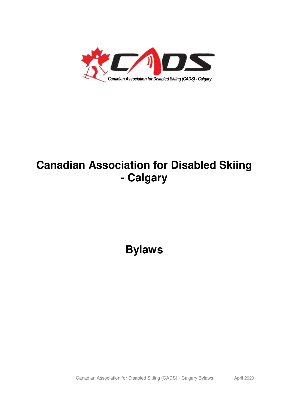

# **Canadian Association for Disabled Skiing - Calgary**

**Bylaws**

Canadian Association for Disabled Skiing (CADS) - Calgary Bylaws April 2020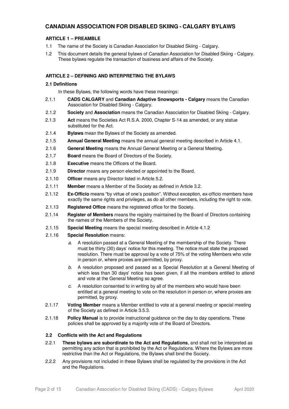# **CANADIAN ASSOCIATION FOR DISABLED SKIING - CALGARY BYLAWS**

# **ARTICLE 1 – PREAMBLE**

- 1.1 The name of the Society is Canadian Association for Disabled Skiing Calgary.
- 1.2 This document details the general bylaws of Canadian Association for Disabled Skiing Calgary. These bylaws regulate the transaction of business and affairs of the Society.

# **ARTICLE 2 – DEFINING AND INTERPRETING THE BYLAWS**

# **2.1 Definitions**

In these Bylaws, the following words have these meanings:

- 2.1.1 **CADS CALGARY** and **Canadian Adaptive Snowsports Calgary** means the Canadian Association for Disabled Skiing - Calgary.
- 2.1.2 **Society** and **Association** means the Canadian Association for Disabled Skiing Calgary.
- 2.1.3 **Act** means the Societies Act R.S.A. 2000, Chapter S-14 as amended, or any statue substituted for the Act.
- 2.1.4 **Bylaws** mean the Bylaws of the Society as amended.
- 2.1.5 **Annual General Meeting** means the annual general meeting described in Article 4.1.
- 2.1.6 **General Meeting** means the Annual General Meeting or a General Meeting.
- 2.1.7 **Board** means the Board of Directors of the Society.
- 2.1.8 **Executive** means the Officers of the Board.
- 2.1.9 **Director** means any person elected or appointed to the Board.
- 2.1.10 **Officer** means any Director listed in Article 5.2.
- 2.1.11 **Member** means a Member of the Society as defined in Article 3.2.
- 2.1.12 **Ex-Officio** means "by virtue of one's position". Without exception, ex-officio members have exactly the same rights and privileges, as do all other members, including the right to vote.
- 2.1.13 **Registered Office** means the registered office for the Society.
- 2.1.14 **Register of Members** means the registry maintained by the Board of Directors containing the names of the Members of the Society.
- 2.1.15 **Special Meeting** means the special meeting described in Article 4.1.2
- 2.1.16 **Special Resolution** means:
	- a. A resolution passed at a General Meeting of the membership of the Society. There must be thirty (30) days' notice for this meeting. The notice must state the proposed resolution. There must be approval by a vote of 75% of the voting Members who vote in person or, where proxies are permitted, by proxy.
	- b. A resolution proposed and passed as a Special Resolution at a General Meeting of which less than 30 days' notice has been given, if all the members entitled to attend and vote at the General Meeting so agree.
	- c. A resolution consented to in writing by all of the members who would have been entitled at a general meeting to vote on the resolution in person or, where proxies are permitted, by proxy.
- 2.1.17 **Voting Member** means a Member entitled to vote at a general meeting or special meeting of the Society as defined in Article 3.5.3.
- 2.1.18 **Policy Manual** is to provide instructional guidance on the day to day operations. These policies shall be approved by a majority vote of the Board of Directors.

# **2.2 Conflicts with the Act and Regulations**

- 2.2.1 **These bylaws are subordinate to the Act and Regulations**, and shall not be interpreted as permitting any action that is prohibited by the Act or Regulations. Where the Bylaws are more restrictive than the Act or Regulations, the Bylaws shall bind the Society.
- 2.2.2 Any provisions not included in these Bylaws shall be regulated by the provisions in the Act and the Regulations.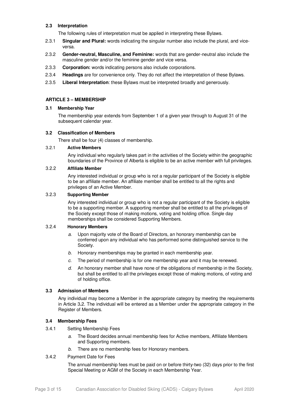# **2.3 Interpretation**

The following rules of interpretation must be applied in interpreting these Bylaws.

- 2.3.1 **Singular and Plural:** words indicating the singular number also include the plural, and viceversa.
- 2.3.2 **Gender-neutral, Masculine, and Feminine:** words that are gender-neutral also include the masculine gender and/or the feminine gender and vice versa.
- 2.3.3 **Corporation:** words indicating persons also include corporations.
- 2.3.4 **Headings** are for convenience only. They do not affect the interpretation of these Bylaws.
- 2.3.5 **Liberal Interpretation**: these Bylaws must be interpreted broadly and generously.

# **ARTICLE 3 – MEMBERSHIP**

#### **3.1 Membership Year**

The membership year extends from September 1 of a given year through to August 31 of the subsequent calendar year.

# **3.2 Classification of Members**

There shall be four (4) classes of membership.

# 3.2.1 **Active Members**

Any individual who regularly takes part in the activities of the Society within the geographic boundaries of the Province of Alberta is eligible to be an active member with full privileges.

# 3.2.2 **Affiliate Member**

Any interested individual or group who is not a regular participant of the Society is eligible to be an affiliate member. An affiliate member shall be entitled to all the rights and privileges of an Active Member.

# 3.2.3 **Supporting Member**

Any interested individual or group who is not a regular participant of the Society is eligible to be a supporting member. A supporting member shall be entitled to all the privileges of the Society except those of making motions, voting and holding office. Single day memberships shall be considered Supporting Members.

#### 3.2.4 **Honorary Members**

- a. Upon majority vote of the Board of Directors, an honorary membership can be conferred upon any individual who has performed some distinguished service to the Society.
- b. Honorary memberships may be granted in each membership year.
- c. The period of membership is for one membership year and it may be renewed.
- $d.$  An honorary member shall have none of the obligations of membership in the Society, but shall be entitled to all the privileges except those of making motions, of voting and of holding office.

#### **3.3 Admission of Members**

Any individual may become a Member in the appropriate category by meeting the requirements in Article 3**.**2. The individual will be entered as a Member under the appropriate category in the Register of Members.

# **3.4 Membership Fees**

- 3.4.1 Setting Membership Fees
	- a. The Board decides annual membership fees for Active members, Affiliate Members and Supporting members.
	- b. There are no membership fees for Honorary members.

# 3.4.2 Payment Date for Fees

The annual membership fees must be paid on or before thirty-two (32) days prior to the first Special Meeting or AGM of the Society in each Membership Year.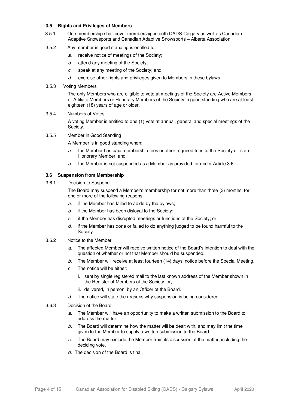# **3.5 Rights and Privileges of Members**

- 3.5.1 One membership shall cover membership in both CADS-Calgary as well as Canadian Adaptive Snowsports and Canadian Adaptive Snowsports – Alberta Association.
- 3.5.2 Any member in good standing is entitled to:
	- a. receive notice of meetings of the Society;
	- b. attend any meeting of the Society;
	- c. speak at any meeting of the Society; and,
	- $d.$  exercise other rights and privileges given to Members in these bylaws.

## 3.5.3 Voting Members

The only Members who are eligible to vote at meetings of the Society are Active Members or Affiliate Members or Honorary Members of the Society in good standing who are at least eighteen (18) years of age or older.

# 3.5.4 Numbers of Votes

A voting Member is entitled to one (1) vote at annual, general and special meetings of the Society.

3.5.5 Member in Good Standing

A Member is in good standing when:

- a. the Member has paid membership fees or other required fees to the Society or is an Honorary Member; and,
- b. the Member is not suspended as a Member as provided for under Article 3.6

# **3.6 Suspension from Membership**

3.6.1 Decision to Suspend

The Board may suspend a Member's membership for not more than three (3) months, for one or more of the following reasons:

- a. if the Member has failed to abide by the bylaws;
- b. if the Member has been disloyal to the Society;
- c. if the Member has disrupted meetings or functions of the Society; or
- $d.$  if the Member has done or failed to do anything judged to be found harmful to the Society.
- 3.6.2 Notice to the Member
	- a. The affected Member will receive written notice of the Board's intention to deal with the question of whether or not that Member should be suspended.
	- b. The Member will receive at least fourteen (14) days' notice before the Special Meeting.
	- c. The notice will be either:
		- i. sent by single registered mail to the last known address of the Member shown in the Register of Members of the Society; or,
		- ii. delivered, in person, by an Officer of the Board.
	- d. The notice will state the reasons why suspension is being considered.
- 3.6.3 Decision of the Board
	- a. The Member will have an opportunity to make a written submission to the Board to address the matter.
	- b. The Board will determine how the matter will be dealt with, and may limit the time given to the Member to supply a written submission to the Board.
	- c. The Board may exclude the Member from its discussion of the matter, including the deciding vote.
	- d. The decision of the Board is final.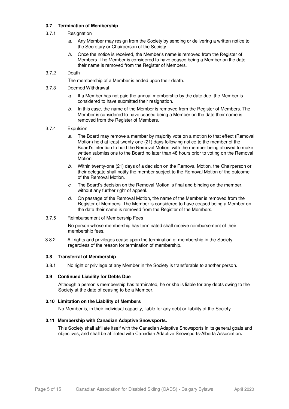# **3.7 Termination of Membership**

# 3.7.1 Resignation

- a. Any Member may resign from the Society by sending or delivering a written notice to the Secretary or Chairperson of the Society.
- b. Once the notice is received, the Member's name is removed from the Register of Members. The Member is considered to have ceased being a Member on the date their name is removed from the Register of Members.

# 3.7.2 Death

The membership of a Member is ended upon their death.

- 3.7.3 Deemed Withdrawal
	- a. If a Member has not paid the annual membership by the date due, the Member is considered to have submitted their resignation.
	- b. In this case, the name of the Member is removed from the Register of Members. The Member is considered to have ceased being a Member on the date their name is removed from the Register of Members.

# 3.7.4 Expulsion

- a. The Board may remove a member by majority vote on a motion to that effect (Removal Motion) held at least twenty-one (21) days following notice to the member of the Board's intention to hold the Removal Motion, with the member being allowed to make written submissions to the Board no later than 48 hours prior to voting on the Removal Motion.
- b. Within twenty-one (21) days of a decision on the Removal Motion, the Chairperson or their delegate shall notify the member subject to the Removal Motion of the outcome of the Removal Motion.
- $c.$  The Board's decision on the Removal Motion is final and binding on the member, without any further right of appeal.
- d. On passage of the Removal Motion, the name of the Member is removed from the Register of Members. The Member is considered to have ceased being a Member on the date their name is removed from the Register of the Members.

#### 3.7.5 Reimbursement of Membership Fees

No person whose membership has terminated shall receive reimbursement of their membership fees.

3.8.2 All rights and privileges cease upon the termination of membership in the Society regardless of the reason for termination of membership.

#### **3.8 Transferral of Membership**

3.8.1 No right or privilege of any Member in the Society is transferable to another person.

#### **3.9 Continued Liability for Debts Due**

Although a person's membership has terminated, he or she is liable for any debts owing to the Society at the date of ceasing to be a Member.

#### **3.10 Limitation on the Liability of Members**

No Member is, in their individual capacity, liable for any debt or liability of the Society.

#### **3.11 Membership with Canadian Adaptive Snowsports.**

This Society shall affiliate itself with the Canadian Adaptive Snowsports in its general goals and objectives, and shall be affiliated with Canadian Adaptive Snowsports-Alberta Association**.**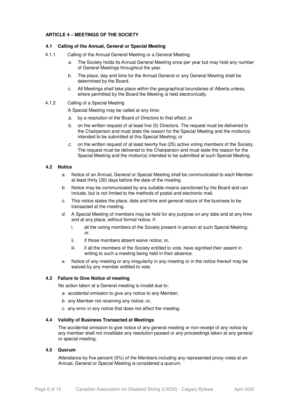## **ARTICLE 4 – MEETINGS OF THE SOCIETY**

#### **4.1 Calling of the Annual, General or Special Meeting**

- 4.1.1 Calling of the Annual General Meeting or a General Meeting
	- a. The Society holds its Annual General Meeting once per year but may hold any number of General Meetings throughout the year.
	- b. The place, day and time for the Annual General or any General Meeting shall be determined by the Board.
	- c. All Meetings shall take place within the geographical boundaries of Alberta unless, where permitted by the Board the Meeting is held electronically.

## 4.1.2 Calling of a Special Meeting

A Special Meeting may be called at any time:

- a. by a resolution of the Board of Directors to that effect; or
- b. on the written request of at least five (5) Directors. The request must be delivered to the Chairperson and must state the reason for the Special Meeting and the motion(s) intended to be submitted at this Special Meeting; or
- c. on the written request of at least twenty five (25) active voting members of the Society. The request must be delivered to the Chairperson and must state the reason for the Special Meeting and the motion(s) intended to be submitted at such Special Meeting.

# **4.2 Notice**

- a. Notice of an Annual, General or Special Meeting shall be communicated to each Member at least thirty (30) days before the date of the meeting.
- b. Notice may be communicated by any suitable means sanctioned by the Board and can include, but is not limited to the methods of postal and electronic mail.
- c. This notice states the place, date and time and general nature of the business to be transacted at the meeting.
- d. A Special Meeting of members may be held for any purpose on any date and at any time and at any place, without formal notice, if:
	- i. all the voting members of the Society present in person at such Special Meeting; or,
	- ii. if those members absent waive notice; or,
	- iii. if all the members of the Society entitled to vote, have signified their assent in writing to such a meeting being held in their absence.
- e. Notice of any meeting or any irregularity in any meeting or in the notice thereof may be waived by any member entitled to vote.

#### **4.3 Failure to Give Notice of meeting**

No action taken at a General meeting is invalid due to:

- a. accidental omission to give any notice to any Member;
- b. any Member not receiving any notice; or,
- c. any error in any notice that does not affect the meeting.

#### **4.4 Validity of Business Transacted at Meetings**

The accidental omission to give notice of any general meeting or non-receipt of any notice by any member shall not invalidate any resolution passed or any proceedings taken at any general or special meeting.

#### **4.5 Quorum**

Attendance by five percent (5%) of the Members including any represented proxy votes at an Annual, General or Special Meeting is considered a quorum.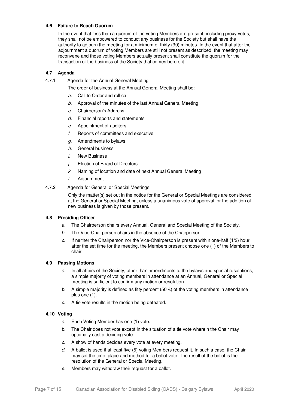# **4.6 Failure to Reach Quorum**

In the event that less than a quorum of the voting Members are present, including proxy votes, they shall not be empowered to conduct any business for the Society but shall have the authority to adjourn the meeting for a minimum of thirty (30) minutes. In the event that after the adjournment a quorum of voting Members are still not present as described, the meeting may reconvene and those voting Members actually present shall constitute the quorum for the transaction of the business of the Society that comes before it.

# **4.7 Agenda**

4.7.1 Agenda for the Annual General Meeting

The order of business at the Annual General Meeting shall be:

- a. Call to Order and roll call
- b. Approval of the minutes of the last Annual General Meeting
- c. Chairperson's Address
- d. Financial reports and statements
- e. Appointment of auditors
- f. Reports of committees and executive
- g. Amendments to bylaws
- h. General business
- i. New Business
- j. Election of Board of Directors
- k. Naming of location and date of next Annual General Meeting
- l. Adjournment.

#### 4.7.2 Agenda for General or Special Meetings

Only the matter(s) set out in the notice for the General or Special Meetings are considered at the General or Special Meeting, unless a unanimous vote of approval for the addition of new business is given by those present.

#### **4.8 Presiding Officer**

- a. The Chairperson chairs every Annual, General and Special Meeting of the Society.
- b. The Vice-Chairperson chairs in the absence of the Chairperson.
- c. If neither the Chairperson nor the Vice-Chairperson is present within one-half (1/2) hour after the set time for the meeting, the Members present choose one (1) of the Members to chair.

#### **4.9 Passing Motions**

- a. In all affairs of the Society, other than amendments to the bylaws and special resolutions, a simple majority of voting members in attendance at an Annual, General or Special meeting is sufficient to confirm any motion or resolution.
- b. A simple majority is defined as fifty percent (50%) of the voting members in attendance plus one (1).
- c. A tie vote results in the motion being defeated.

#### **4.10 Voting**

- a. Each Voting Member has one (1) vote.
- b. The Chair does not vote except in the situation of a tie vote wherein the Chair may optionally cast a deciding vote.
- c. A show of hands decides every vote at every meeting.
- $d.$  A ballot is used if at least five (5) voting Members request it. In such a case, the Chair may set the time, place and method for a ballot vote. The result of the ballot is the resolution of the General or Special Meeting.
- e. Members may withdraw their request for a ballot.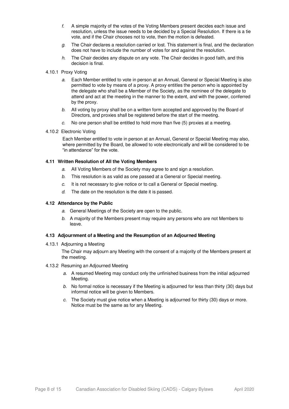- f. A simple majority of the votes of the Voting Members present decides each issue and resolution, unless the issue needs to be decided by a Special Resolution. If there is a tie vote, and if the Chair chooses not to vote, then the motion is defeated.
- $g.$  The Chair declares a resolution carried or lost. This statement is final, and the declaration does not have to include the number of votes for and against the resolution.
- h. The Chair decides any dispute on any vote. The Chair decides in good faith, and this decision is final.

#### 4.10.1 Proxy Voting

- a. Each Member entitled to vote in person at an Annual, General or Special Meeting is also permitted to vote by means of a proxy. A proxy entitles the person who is appointed by the delegate who shall be a Member of the Society, as the nominee of the delegate to attend and act at the meeting in the manner to the extent, and with the power, conferred by the proxy.
- b. All voting by proxy shall be on a written form accepted and approved by the Board of Directors, and proxies shall be registered before the start of the meeting.
- c. No one person shall be entitled to hold more than five (5) proxies at a meeting.
- 4.10.2 Electronic Voting

Each Member entitled to vote in person at an Annual, General or Special Meeting may also, where permitted by the Board, be allowed to vote electronically and will be considered to be "in attendance" for the vote.

# **4.11 Written Resolution of All the Voting Members**

- a. All Voting Members of the Society may agree to and sign a resolution.
- b. This resolution is as valid as one passed at a General or Special meeting.
- c. It is not necessary to give notice or to call a General or Special meeting.
- $d.$  The date on the resolution is the date it is passed.

## **4.12 Attendance by the Public**

- a. General Meetings of the Society are open to the public.
- b. A majority of the Members present may require any persons who are not Members to leave.

#### **4.13 Adjournment of a Meeting and the Resumption of an Adjourned Meeting**

4.13.1 Adjourning a Meeting

The Chair may adjourn any Meeting with the consent of a majority of the Members present at the meeting.

#### 4.13.2 Resuming an Adjourned Meeting

- a. A resumed Meeting may conduct only the unfinished business from the initial adjourned Meeting.
- b. No formal notice is necessary if the Meeting is adjourned for less than thirty (30) days but informal notice will be given to Members.
- c. The Society must give notice when a Meeting is adjourned for thirty  $(30)$  days or more. Notice must be the same as for any Meeting.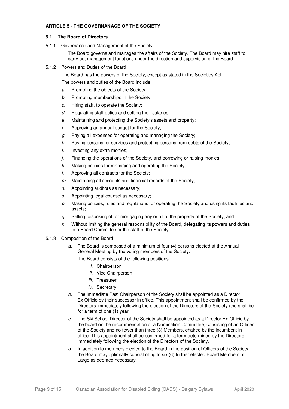## **ARTICLE 5 - THE GOVERNANACE OF THE SOCIETY**

## **5.1 The Board of Directors**

5.1.1 Governance and Management of the Society

The Board governs and manages the affairs of the Society. The Board may hire staff to carry out management functions under the direction and supervision of the Board.

5.1.2 Powers and Duties of the Board

The Board has the powers of the Society, except as stated in the Societies Act.

The powers and duties of the Board include:

- a. Promoting the objects of the Society;
- b. Promoting memberships in the Society;
- c. Hiring staff, to operate the Society;
- d. Regulating staff duties and setting their salaries;
- e. Maintaining and protecting the Society's assets and property;
- f. Approving an annual budget for the Society;
- g. Paying all expenses for operating and managing the Society;
- h. Paying persons for services and protecting persons from debts of the Society;
- $i.$  Investing any extra monies;
- $i.$  Financing the operations of the Society, and borrowing or raising monies;
- k. Making policies for managing and operating the Society;
- l. Approving all contracts for the Society;
- $m.$  Maintaining all accounts and financial records of the Society;
- n. Appointing auditors as necessary;
- o. Appointing legal counsel as necessary;
- $p.$  Making policies, rules and regulations for operating the Society and using its facilities and assets;
- $q<sub>z</sub>$  Selling, disposing of, or mortgaging any or all of the property of the Society; and
- $r.$  Without limiting the general responsibility of the Board, delegating its powers and duties to a Board Committee or the staff of the Society.
- 5.1.3 Composition of the Board
	- a. The Board is composed of a minimum of four (4) persons elected at the Annual General Meeting by the voting members of the Society.

The Board consists of the following positions:

- i. Chairperson
- ii. Vice-Chairperson
- iii. Treasurer
- iv. Secretary
- b. The immediate Past Chairperson of the Society shall be appointed as a Director Ex-Officio by their successor in office. This appointment shall be confirmed by the Directors immediately following the election of the Directors of the Society and shall be for a term of one (1) year.
- c. The Ski School Director of the Society shall be appointed as a Director Ex-Officio by the board on the recommendation of a Nomination Committee, consisting of an Officer of the Society and no fewer than three (3) Members, chaired by the incumbent in office. This appointment shall be confirmed for a term determined by the Directors immediately following the election of the Directors of the Society.
- d. In addition to members elected to the Board in the position of Officers of the Society, the Board may optionally consist of up to six (6) further elected Board Members at Large as deemed necessary.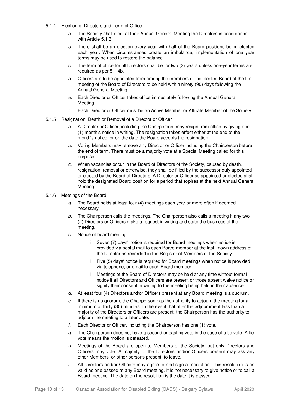- 5.1.4 Election of Directors and Term of Office
	- a. The Society shall elect at their Annual General Meeting the Directors in accordance with Article 5.1.3.
	- b. There shall be an election every year with half of the Board positions being elected each year. When circumstances create an imbalance, implementation of one year terms may be used to restore the balance.
	- c. The term of office for all Directors shall be for two (2) years unless one-year terms are required as per 5.1.4b.
	- d. Officers are to be appointed from among the members of the elected Board at the first meeting of the Board of Directors to be held within ninety (90) days following the Annual General Meeting.
	- e. Each Director or Officer takes office immediately following the Annual General Meeting.
	- f. Each Director or Officer must be an Active Member or Affiliate Member of the Society.
- 5.1.5 Resignation, Death or Removal of a Director or Officer
	- a. A Director or Officer, including the Chairperson, may resign from office by giving one (1) month's notice in writing. The resignation takes effect either at the end of the month's notice, or on the date the Board accepts the resignation.
	- b. Voting Members may remove any Director or Officer including the Chairperson before the end of term. There must be a majority vote at a Special Meeting called for this purpose.
	- c. When vacancies occur in the Board of Directors of the Society, caused by death, resignation, removal or otherwise, they shall be filled by the successor duly appointed or elected by the Board of Directors. A Director or Officer so appointed or elected shall hold the designated Board position for a period that expires at the next Annual General Meeting.
- 5.1.6 Meetings of the Board
	- a. The Board holds at least four (4) meetings each year or more often if deemed necessary.
	- b. The Chairperson calls the meetings. The Chairperson also calls a meeting if any two (2) Directors or Officers make a request in writing and state the business of the meeting.
	- c. Notice of board meeting
		- i. Seven (7) days' notice is required for Board meetings when notice is provided via postal mail to each Board member at the last known address of the Director as recorded in the Register of Members of the Society.
		- ii. Five (5) days' notice is required for Board meetings when notice is provided via telephone, or email to each Board member.
		- iii. Meetings of the Board of Directors may be held at any time without formal notice if all Directors and Officers are present or those absent waive notice or signify their consent in writing to the meeting being held in their absence.
	- d. At least four (4) Directors and/or Officers present at any Board meeting is a quorum.
	- e. If there is no quorum, the Chairperson has the authority to adjourn the meeting for a minimum of thirty (30) minutes. In the event that after the adjournment less than a majority of the Directors or Officers are present, the Chairperson has the authority to adjourn the meeting to a later date.
	- f. Each Director or Officer, including the Chairperson has one (1) vote.
	- $a<sub>c</sub>$  The Chairperson does not have a second or casting vote in the case of a tie vote. A tie vote means the motion is defeated.
	- h. Meetings of the Board are open to Members of the Society, but only Directors and Officers may vote. A majority of the Directors and/or Officers present may ask any other Members, or other persons present, to leave.
	- $i.$  All Directors and/or Officers may agree to and sign a resolution. This resolution is as valid as one passed at any Board meeting. It is not necessary to give notice or to call a Board meeting. The date on the resolution is the date it is passed.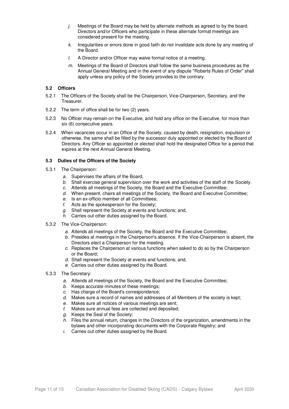- $j.$  Meetings of the Board may be held by alternate methods as agreed to by the board. Directors and/or Officers who participate in these alternate format meetings are considered present for the meeting.
- k. Irregularities or errors done in good faith do not invalidate acts done by any meeting of the Board.
- l. A Director and/or Officer may waive formal notice of a meeting.
- $m$ . Meetings of the Board of Directors shall follow the same business procedures as the Annual General Meeting and in the event of any dispute "Roberts Rules of Order" shall apply unless any policy of the Society provides to the contrary.

# **5.2 Officers**

- 5.2.1 The Officers of the Society shall be the Chairperson, Vice-Chairperson, Secretary, and the Treasurer.
- 5.2.2 The term of office shall be for two (2) years.
- 5.2.3 No Officer may remain on the Executive, and hold any office on the Executive, for more than six (6) consecutive years.
- 5.2.4 When vacancies occur in an Office of the Society, caused by death, resignation, expulsion or otherwise, the same shall be filled by the successor duly appointed or elected by the Board of Directors. Any Officer so appointed or elected shall hold the designated Office for a period that expires at the next Annual General Meeting.

#### **5.3 Duties of the Officers of the Society**

- 5.3.1 The Chairperson:
	- a. Supervises the affairs of the Board,
	- b. Shall exercise general supervision over the work and activities of the staff of the Society.
	- c. Attends all meetings of the Society, the Board and the Executive Committee;
	- d. When present, chairs all meetings of the Society, the Board and Executive Committee;
	- e. Is an ex-officio member of all Committees;
	- f. Acts as the spokesperson for the Society;
	- g. Shall represent the Society at events and functions; and,
	- h. Carries out other duties assigned by the Board.
- 5.3.2 The Vice-Chairperson:
	- a. Attends all meetings of the Society, the Board and the Executive Committee;
	- b. Presides at meetings in the Chairperson's absence. If the Vice-Chairperson is absent, the Directors elect a Chairperson for the meeting.
	- c. Replaces the Chairperson at various functions when asked to do so by the Chairperson or the Board;
	- d. Shall represent the Society at events and functions; and,
	- e. Carries out other duties assigned by the Board.
- 5.3.3 The Secretary:
	- a. Attends all meetings of the Society, the Board and the Executive Committee;
	- b. Keeps accurate minutes of these meetings;
	- c. Has charge of the Board's correspondence;
	- d. Makes sure a record of names and addresses of all Members of the society is kept;
	- e. Makes sure all notices of various meetings are sent;
	- f. Makes sure annual fees are collected and deposited;
	- g. Keeps the Seal of the Society;
	- h. Files the annual return, changes in the Directors of the organization, amendments in the bylaws and other incorporating documents with the Corporate Registry; and
	- i. Carries out other duties assigned by the Board.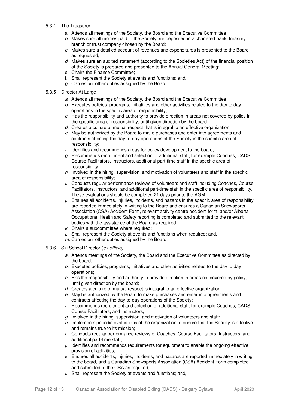- 5.3.4 The Treasurer:
	- a. Attends all meetings of the Society, the Board and the Executive Committee;
	- b. Makes sure all monies paid to the Society are deposited in a chartered bank, treasury branch or trust company chosen by the Board;
	- c. Makes sure a detailed account of revenues and expenditures is presented to the Board as requested;
	- d. Makes sure an audited statement (according to the Societies Act) of the financial position of the Society is prepared and presented to the Annual General Meeting;
	- e. Chairs the Finance Committee;
	- f. Shall represent the Society at events and functions; and,
	- g. Carries out other duties assigned by the Board.
- 5.3.5 Director At Large
	- a. Attends all meetings of the Society, the Board and the Executive Committee;
	- $b.$  Executes policies, programs, initiatives and other activities related to the day to day operations in the specific area of responsibility;
	- c. Has the responsibility and authority to provide direction in areas not covered by policy in the specific area of responsibility, until given direction by the board;
	- d. Creates a culture of mutual respect that is integral to an effective organization;
	- e. May be authorized by the Board to make purchases and enter into agreements and contracts affecting the day-to-day operations of the Society in the specific area of responsibility;
	- f. Identifies and recommends areas for policy development to the board;
	- g. Recommends recruitment and selection of additional staff, for example Coaches, CADS Course Facilitators, Instructors, additional part-time staff in the specific area of responsibility;
	- h. Involved in the hiring, supervision, and motivation of volunteers and staff in the specific area of responsibility;
	- i. Conducts regular performance reviews of volunteers and staff including Coaches, Course Facilitators, Instructors, and additional part-time staff in the specific area of responsibility. These evaluations should be completed 21 days prior to the AGM;
	- $j.$  Ensures all accidents, injuries, incidents, and hazards in the specific area of responsibility are reported immediately in writing to the Board and ensures a Canadian Snowsports Association (CSA) Accident Form, relevant activity centre accident form, and/or Alberta Occupational Health and Safety reporting is completed and submitted to the relevant bodies with the assistance of the Board as required;
	- k. Chairs a subcommittee where required;
	- l. Shall represent the Society at events and functions when required; and,
	- m. Carries out other duties assigned by the Board.
- 5.3.6 Ski School Director (ex-officio)
	- a. Attends meetings of the Society, the Board and the Executive Committee as directed by the board;
	- b. Executes policies, programs, initiatives and other activities related to the day to day operations;
	- c. Has the responsibility and authority to provide direction in areas not covered by policy, until given direction by the board;
	- d. Creates a culture of mutual respect is integral to an effective organization;
	- e. May be authorized by the Board to make purchases and enter into agreements and contracts affecting the day-to-day operations of the Society;
	- f. Recommends recruitment and selection of additional staff, for example Coaches, CADS Course Facilitators, and Instructors;
	- $g$ . Involved in the hiring, supervision, and motivation of volunteers and staff;
	- h. Implements periodic evaluations of the organization to ensure that the Society is effective and remains true to its mission;
	- i. Conducts regular performance reviews of Coaches, Course Facilitators, Instructors, and additional part-time staff;
	- $j.$  Identifies and recommends requirements for equipment to enable the ongoing effective provision of activities;
	- k. Ensures all accidents, injuries, incidents, and hazards are reported immediately in writing to the board, and a Canadian Snowsports Association (CSA) Accident Form completed and submitted to the CSA as required;
	- l. Shall represent the Society at events and functions; and,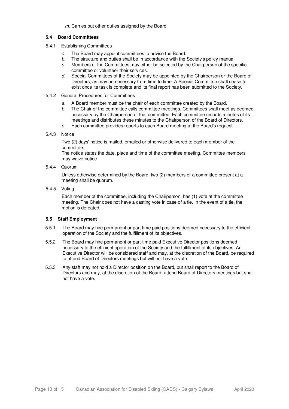m. Carries out other duties assigned by the Board.

# **5.4 Board Committees**

- 5.4.1 Establishing Committees
	- a. The Board may appoint committees to advise the Board.
	-
	- b. The structure and duties shall be in accordance with the Society's policy manual.<br>c. Members of the Committees may either be selected by the Chairnerson of the spo Members of the Committees may either be selected by the Chairperson of the specific committee or volunteer their services.
	- d. Special Committees of the Society may be appointed by the Chairperson or the Board of Directors, as may be necessary from time to time. A Special Committee shall cease to exist once its task is complete and its final report has been submitted to the Society.
- 5.4.2 General Procedures for Committees
	- a. A Board member must be the chair of each committee created by the Board.
	- b. The Chair of the committee calls committee meetings. Committees shall meet as deemed necessary by the Chairperson of that committee. Each committee records minutes of its meetings and distributes these minutes to the Chairperson of the Board of Directors.
	- c. Each committee provides reports to each Board meeting at the Board's request.

#### 5.4.3 Notice

Two (2) days' notice is mailed, emailed or otherwise delivered to each member of the committee.

The notice states the date, place and time of the committee meeting. Committee members may waive notice.

5.4.4 Quorum

Unless otherwise determined by the Board, two (2) members of a committee present at a meeting shall be quorum.

5.4.5 Voting

Each member of the committee, including the Chairperson, has (1) vote at the committee meeting. The Chair does not have a casting vote in case of a tie. In the event of a tie, the motion is defeated.

# **5.5 Staff Employment**

- 5.5.1 The Board may hire permanent or part time paid positions deemed necessary to the efficient operation of the Society and the fulfillment of its objectives.
- 5.5.2 The Board may hire permanent or part-time paid Executive Director positions deemed necessary to the efficient operation of the Society and the fulfillment of its objectives. An Executive Director will be considered staff and may, at the discretion of the Board, be required to attend Board of Directors meetings but will not have a vote.
- 5.5.3 Any staff may not hold a Director position on the Board, but shall report to the Board of Directors and may, at the discretion of the Board, attend Board of Directors meetings but shall not have a vote.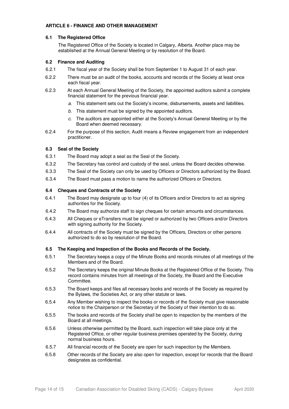#### **ARTICLE 6 - FINANCE AND OTHER MANAGEMENT**

## **6.1 The Registered Office**

The Registered Office of the Society is located in Calgary, Alberta. Another place may be established at the Annual General Meeting or by resolution of the Board.

# **6.2 Finance and Auditing**

- 6.2.1 The fiscal year of the Society shall be from September 1 to August 31 of each year.
- 6.2.2 There must be an audit of the books, accounts and records of the Society at least once each fiscal year.
- 6.2.3 At each Annual General Meeting of the Society, the appointed auditors submit a complete financial statement for the previous financial year.
	- a. This statement sets out the Society's income, disbursements, assets and liabilities.
	- b. This statement must be signed by the appointed auditors.
	- c. The auditors are appointed either at the Society's Annual General Meeting or by the Board when deemed necessary.
- 6.2.4 For the purpose of this section, Audit means a Review engagement from an independent practitioner.

# **6.3 Seal of the Society**

- 6.3.1 The Board may adopt a seal as the Seal of the Society.
- 6.3.2 The Secretary has control and custody of the seal, unless the Board decides otherwise.
- 6.3.3 The Seal of the Society can only be used by Officers or Directors authorized by the Board.
- 6.3.4 The Board must pass a motion to name the authorized Officers or Directors.

# **6.4 Cheques and Contracts of the Society**

- 6.4.1 The Board may designate up to four (4) of its Officers and/or Directors to act as signing authorities for the Society.
- 6.4.2 The Board may authorize staff to sign cheques for certain amounts and circumstances.
- 6.4.3 All Cheques or eTransfers must be signed or authorized by two Officers and/or Directors with signing authority for the Society.
- 6.4.4 All contracts of the Society must be signed by the Officers, Directors or other persons authorized to do so by resolution of the Board.

#### **6.5 The Keeping and Inspection of the Books and Records of the Society.**

- 6.5.1 The Secretary keeps a copy of the Minute Books and records minutes of all meetings of the Members and of the Board.
- 6.5.2 The Secretary keeps the original Minute Books at the Registered Office of the Society. This record contains minutes from all meetings of the Society, the Board and the Executive Committee.
- 6.5.3 The Board keeps and files all necessary books and records of the Society as required by the Bylaws, the Societies Act, or any other statute or laws.
- 6.5.4 Any Member wishing to inspect the books or records of the Society must give reasonable notice to the Chairperson or the Secretary of the Society of their intention to do so.
- 6.5.5 The books and records of the Society shall be open to inspection by the members of the Board at all meetings.
- 6.5.6 Unless otherwise permitted by the Board, such inspection will take place only at the Registered Office, or other regular business premises operated by the Society, during normal business hours.
- 6.5.7 All financial records of the Society are open for such inspection by the Members.
- 6.5.8 Other records of the Society are also open for inspection, except for records that the Board designates as confidential.